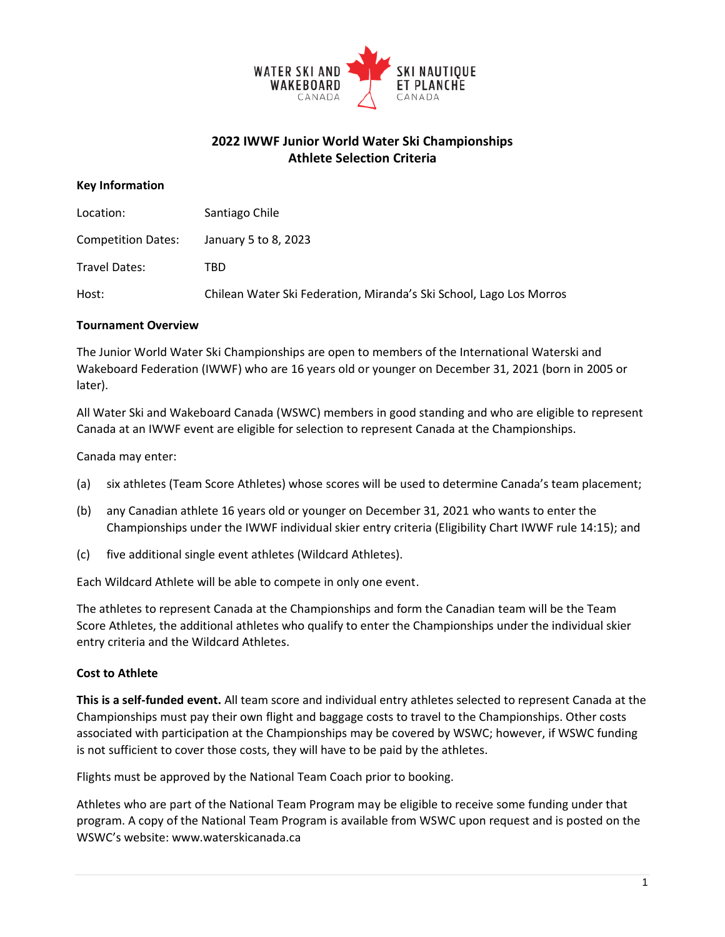

# **2022 IWWF Junior World Water Ski Championships Athlete Selection Criteria**

## **Key Information**

| Location:                 | Santiago Chile                                                      |
|---------------------------|---------------------------------------------------------------------|
| <b>Competition Dates:</b> | January 5 to 8, 2023                                                |
| Travel Dates:             | TBD                                                                 |
| Host:                     | Chilean Water Ski Federation, Miranda's Ski School, Lago Los Morros |

## **Tournament Overview**

The Junior World Water Ski Championships are open to members of the International Waterski and Wakeboard Federation (IWWF) who are 16 years old or younger on December 31, 2021 (born in 2005 or later).

All Water Ski and Wakeboard Canada (WSWC) members in good standing and who are eligible to represent Canada at an IWWF event are eligible for selection to represent Canada at the Championships.

Canada may enter:

- (a) six athletes (Team Score Athletes) whose scores will be used to determine Canada's team placement;
- (b) any Canadian athlete 16 years old or younger on December 31, 2021 who wants to enter the Championships under the IWWF individual skier entry criteria (Eligibility Chart IWWF rule 14:15); and
- (c) five additional single event athletes (Wildcard Athletes).

Each Wildcard Athlete will be able to compete in only one event.

The athletes to represent Canada at the Championships and form the Canadian team will be the Team Score Athletes, the additional athletes who qualify to enter the Championships under the individual skier entry criteria and the Wildcard Athletes.

# **Cost to Athlete**

**This is a self-funded event.** All team score and individual entry athletes selected to represent Canada at the Championships must pay their own flight and baggage costs to travel to the Championships. Other costs associated with participation at the Championships may be covered by WSWC; however, if WSWC funding is not sufficient to cover those costs, they will have to be paid by the athletes.

Flights must be approved by the National Team Coach prior to booking.

Athletes who are part of the National Team Program may be eligible to receive some funding under that program. A copy of the National Team Program is available from WSWC upon request and is posted on the WSWC's website: [www.waterskicanada.ca](http://www.waterskicanada.ca/)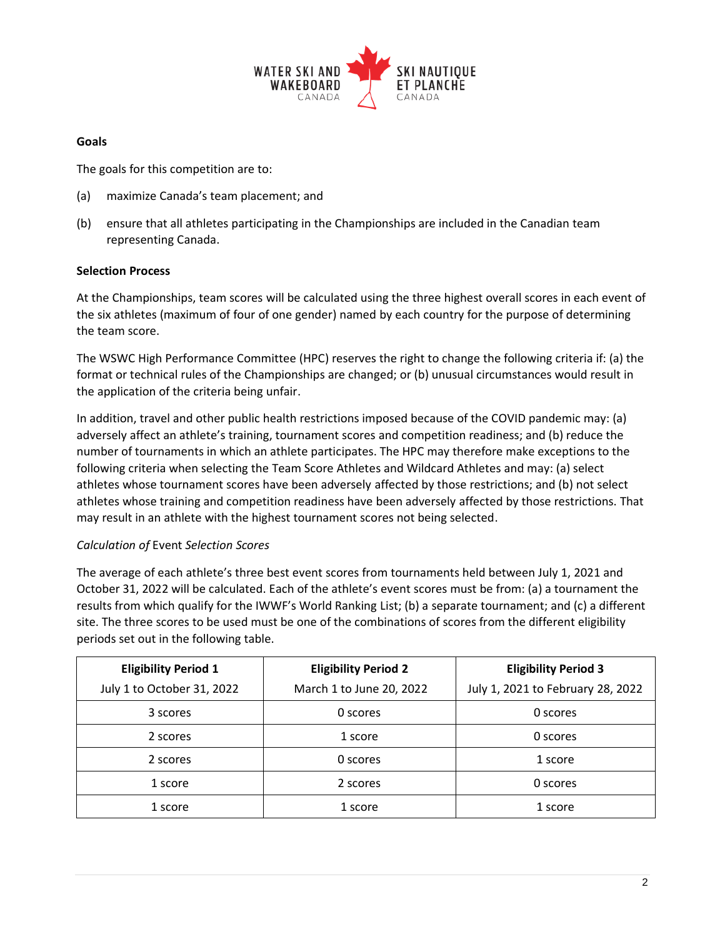

#### **Goals**

The goals for this competition are to:

- (a) maximize Canada's team placement; and
- (b) ensure that all athletes participating in the Championships are included in the Canadian team representing Canada.

## **Selection Process**

At the Championships, team scores will be calculated using the three highest overall scores in each event of the six athletes (maximum of four of one gender) named by each country for the purpose of determining the team score.

The WSWC High Performance Committee (HPC) reserves the right to change the following criteria if: (a) the format or technical rules of the Championships are changed; or (b) unusual circumstances would result in the application of the criteria being unfair.

In addition, travel and other public health restrictions imposed because of the COVID pandemic may: (a) adversely affect an athlete's training, tournament scores and competition readiness; and (b) reduce the number of tournaments in which an athlete participates. The HPC may therefore make exceptions to the following criteria when selecting the Team Score Athletes and Wildcard Athletes and may: (a) select athletes whose tournament scores have been adversely affected by those restrictions; and (b) not select athletes whose training and competition readiness have been adversely affected by those restrictions. That may result in an athlete with the highest tournament scores not being selected.

# *Calculation of* Event *Selection Scores*

The average of each athlete's three best event scores from tournaments held between July 1, 2021 and October 31, 2022 will be calculated. Each of the athlete's event scores must be from: (a) a tournament the results from which qualify for the IWWF's World Ranking List; (b) a separate tournament; and (c) a different site. The three scores to be used must be one of the combinations of scores from the different eligibility periods set out in the following table.

| <b>Eligibility Period 1</b> | <b>Eligibility Period 2</b> | <b>Eligibility Period 3</b>       |
|-----------------------------|-----------------------------|-----------------------------------|
| July 1 to October 31, 2022  | March 1 to June 20, 2022    | July 1, 2021 to February 28, 2022 |
| 3 scores                    | 0 scores                    | 0 scores                          |
| 2 scores                    | 1 score                     | 0 scores                          |
| 2 scores                    | 0 scores                    | 1 score                           |
| 1 score                     | 2 scores                    | 0 scores                          |
| 1 score                     | 1 score                     | 1 score                           |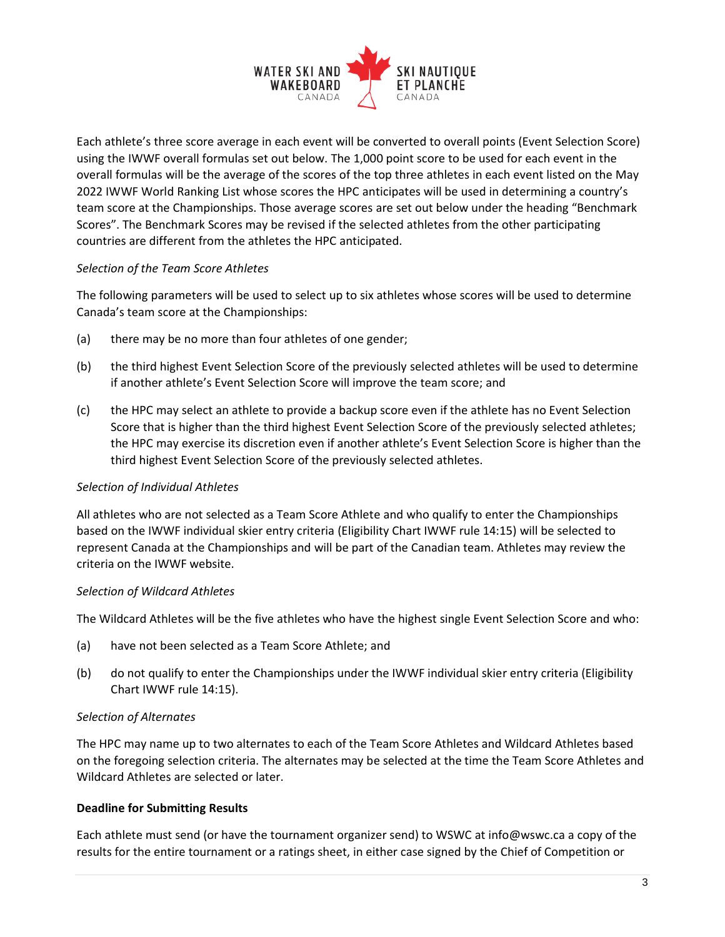

Each athlete's three score average in each event will be converted to overall points (Event Selection Score) using the IWWF overall formulas set out below. The 1,000 point score to be used for each event in the overall formulas will be the average of the scores of the top three athletes in each event listed on the May 2022 IWWF World Ranking List whose scores the HPC anticipates will be used in determining a country's team score at the Championships. Those average scores are set out below under the heading "Benchmark Scores". The Benchmark Scores may be revised if the selected athletes from the other participating countries are different from the athletes the HPC anticipated.

## *Selection of the Team Score Athletes*

The following parameters will be used to select up to six athletes whose scores will be used to determine Canada's team score at the Championships:

- (a) there may be no more than four athletes of one gender;
- (b) the third highest Event Selection Score of the previously selected athletes will be used to determine if another athlete's Event Selection Score will improve the team score; and
- (c) the HPC may select an athlete to provide a backup score even if the athlete has no Event Selection Score that is higher than the third highest Event Selection Score of the previously selected athletes; the HPC may exercise its discretion even if another athlete's Event Selection Score is higher than the third highest Event Selection Score of the previously selected athletes.

#### *Selection of Individual Athletes*

All athletes who are not selected as a Team Score Athlete and who qualify to enter the Championships based on the IWWF individual skier entry criteria (Eligibility Chart IWWF rule 14:15) will be selected to represent Canada at the Championships and will be part of the Canadian team. Athletes may review the criteria on the IWWF website.

#### *Selection of Wildcard Athletes*

The Wildcard Athletes will be the five athletes who have the highest single Event Selection Score and who:

- (a) have not been selected as a Team Score Athlete; and
- (b) do not qualify to enter the Championships under the IWWF individual skier entry criteria (Eligibility Chart IWWF rule 14:15).

# *Selection of Alternates*

The HPC may name up to two alternates to each of the Team Score Athletes and Wildcard Athletes based on the foregoing selection criteria. The alternates may be selected at the time the Team Score Athletes and Wildcard Athletes are selected or later.

# **Deadline for Submitting Results**

Each athlete must send (or have the tournament organizer send) to WSWC at info@wswc.ca a copy of the results for the entire tournament or a ratings sheet, in either case signed by the Chief of Competition or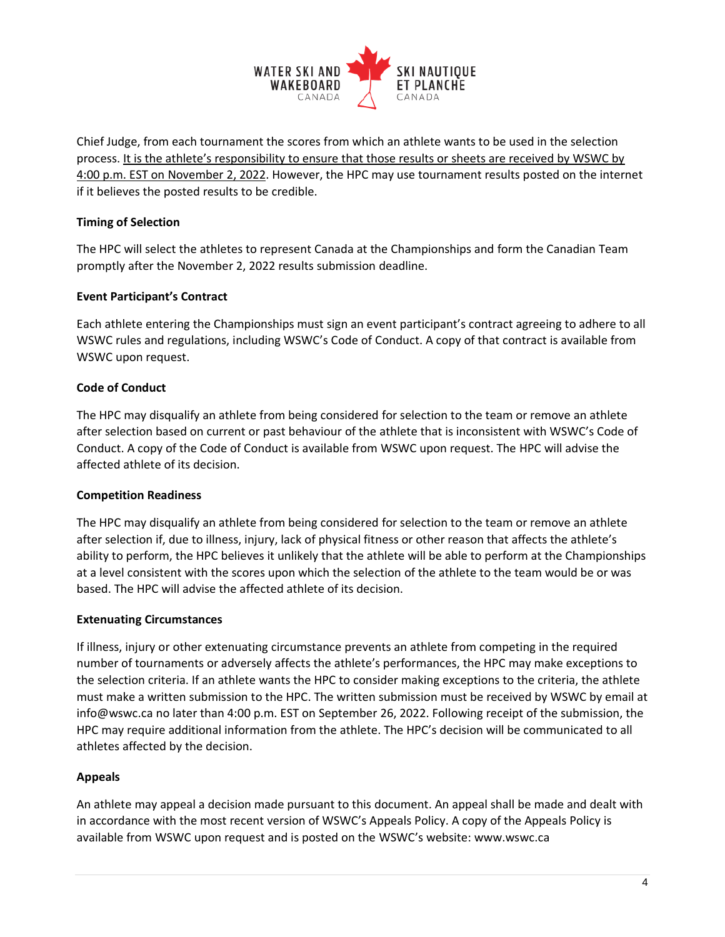

Chief Judge, from each tournament the scores from which an athlete wants to be used in the selection process. It is the athlete's responsibility to ensure that those results or sheets are received by WSWC by 4:00 p.m. EST on November 2, 2022. However, the HPC may use tournament results posted on the internet if it believes the posted results to be credible.

# **Timing of Selection**

The HPC will select the athletes to represent Canada at the Championships and form the Canadian Team promptly after the November 2, 2022 results submission deadline.

# **Event Participant's Contract**

Each athlete entering the Championships must sign an event participant's contract agreeing to adhere to all WSWC rules and regulations, including WSWC's Code of Conduct. A copy of that contract is available from WSWC upon request.

# **Code of Conduct**

The HPC may disqualify an athlete from being considered for selection to the team or remove an athlete after selection based on current or past behaviour of the athlete that is inconsistent with WSWC's Code of Conduct. A copy of the Code of Conduct is available from WSWC upon request. The HPC will advise the affected athlete of its decision.

# **Competition Readiness**

The HPC may disqualify an athlete from being considered for selection to the team or remove an athlete after selection if, due to illness, injury, lack of physical fitness or other reason that affects the athlete's ability to perform, the HPC believes it unlikely that the athlete will be able to perform at the Championships at a level consistent with the scores upon which the selection of the athlete to the team would be or was based. The HPC will advise the affected athlete of its decision.

# **Extenuating Circumstances**

If illness, injury or other extenuating circumstance prevents an athlete from competing in the required number of tournaments or adversely affects the athlete's performances, the HPC may make exceptions to the selection criteria. If an athlete wants the HPC to consider making exceptions to the criteria, the athlete must make a written submission to the HPC. The written submission must be received by WSWC by email at info@wswc.ca no later than 4:00 p.m. EST on September 26, 2022. Following receipt of the submission, the HPC may require additional information from the athlete. The HPC's decision will be communicated to all athletes affected by the decision.

# **Appeals**

An athlete may appeal a decision made pursuant to this document. An appeal shall be made and dealt with in accordance with the most recent version of WSWC's Appeals Policy. A copy of the Appeals Policy is available from WSWC upon request and is posted on the WSWC's website: www.wswc.ca